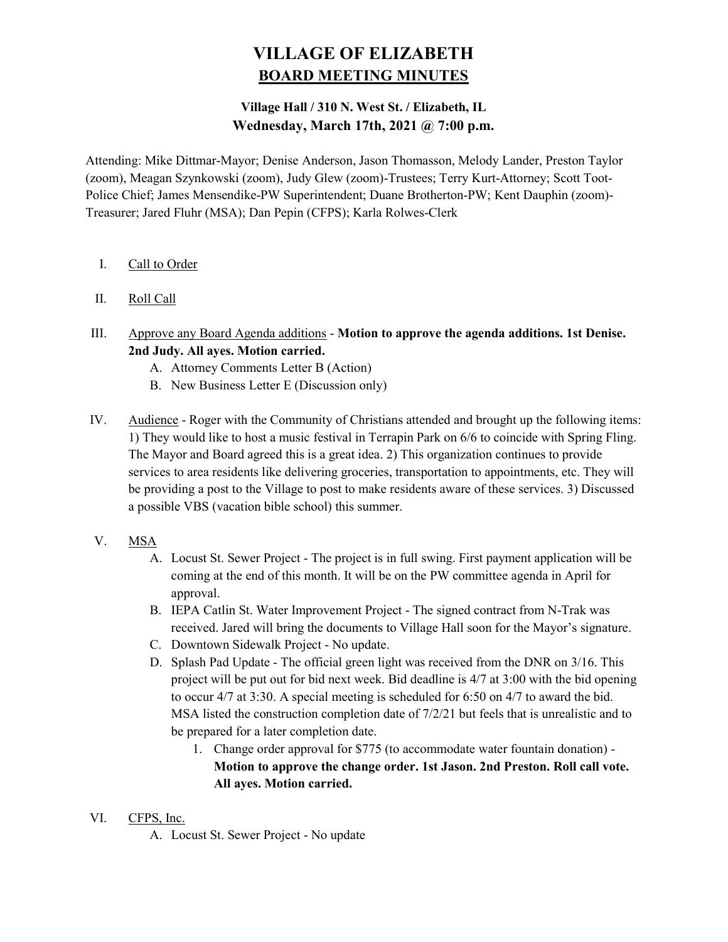# VILLAGE OF ELIZABETH BOARD MEETING MINUTES

## Village Hall / 310 N. West St. / Elizabeth, IL Wednesday, March 17th, 2021 @ 7:00 p.m.

Attending: Mike Dittmar-Mayor; Denise Anderson, Jason Thomasson, Melody Lander, Preston Taylor (zoom), Meagan Szynkowski (zoom), Judy Glew (zoom)-Trustees; Terry Kurt-Attorney; Scott Toot-Police Chief; James Mensendike-PW Superintendent; Duane Brotherton-PW; Kent Dauphin (zoom)- Treasurer; Jared Fluhr (MSA); Dan Pepin (CFPS); Karla Rolwes-Clerk

- I. Call to Order
- II. Roll Call
- III. Approve any Board Agenda additions Motion to approve the agenda additions. 1st Denise. 2nd Judy. All ayes. Motion carried.
	- A. Attorney Comments Letter B (Action)
	- B. New Business Letter E (Discussion only)
- IV. Audience Roger with the Community of Christians attended and brought up the following items: 1) They would like to host a music festival in Terrapin Park on 6/6 to coincide with Spring Fling. The Mayor and Board agreed this is a great idea. 2) This organization continues to provide services to area residents like delivering groceries, transportation to appointments, etc. They will be providing a post to the Village to post to make residents aware of these services. 3) Discussed a possible VBS (vacation bible school) this summer.
- V. MSA
	- A. Locust St. Sewer Project The project is in full swing. First payment application will be coming at the end of this month. It will be on the PW committee agenda in April for approval.
	- B. IEPA Catlin St. Water Improvement Project The signed contract from N-Trak was received. Jared will bring the documents to Village Hall soon for the Mayor's signature.
	- C. Downtown Sidewalk Project No update.
	- D. Splash Pad Update The official green light was received from the DNR on 3/16. This project will be put out for bid next week. Bid deadline is 4/7 at 3:00 with the bid opening to occur 4/7 at 3:30. A special meeting is scheduled for 6:50 on 4/7 to award the bid. MSA listed the construction completion date of 7/2/21 but feels that is unrealistic and to be prepared for a later completion date.
		- 1. Change order approval for \$775 (to accommodate water fountain donation) Motion to approve the change order. 1st Jason. 2nd Preston. Roll call vote. All ayes. Motion carried.
- VI. CFPS, Inc.
	- A. Locust St. Sewer Project No update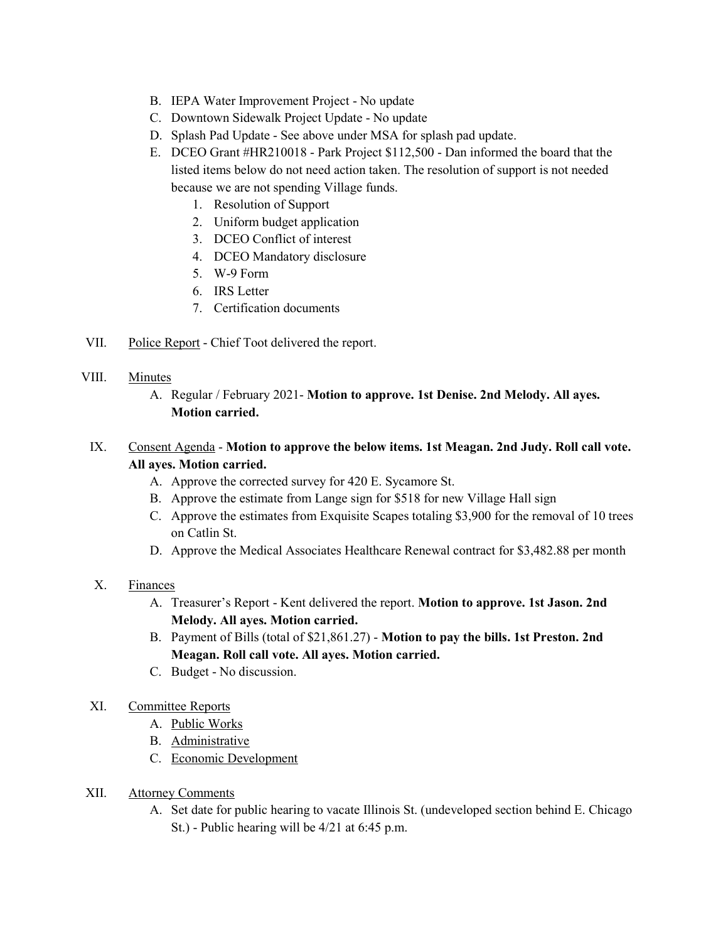- B. IEPA Water Improvement Project No update
- C. Downtown Sidewalk Project Update No update
- D. Splash Pad Update See above under MSA for splash pad update.
- E. DCEO Grant #HR210018 Park Project \$112,500 Dan informed the board that the listed items below do not need action taken. The resolution of support is not needed because we are not spending Village funds.
	- 1. Resolution of Support
	- 2. Uniform budget application
	- 3. DCEO Conflict of interest
	- 4. DCEO Mandatory disclosure
	- 5. W-9 Form
	- 6. IRS Letter
	- 7. Certification documents
- VII. Police Report Chief Toot delivered the report.

#### VIII. Minutes

A. Regular / February 2021- Motion to approve. 1st Denise. 2nd Melody. All ayes. Motion carried.

### IX. Consent Agenda - Motion to approve the below items. 1st Meagan. 2nd Judy. Roll call vote. All ayes. Motion carried.

- A. Approve the corrected survey for 420 E. Sycamore St.
- B. Approve the estimate from Lange sign for \$518 for new Village Hall sign
- C. Approve the estimates from Exquisite Scapes totaling \$3,900 for the removal of 10 trees on Catlin St.
- D. Approve the Medical Associates Healthcare Renewal contract for \$3,482.88 per month

#### X. Finances

- A. Treasurer's Report Kent delivered the report. Motion to approve. 1st Jason. 2nd Melody. All ayes. Motion carried.
- B. Payment of Bills (total of \$21,861.27) Motion to pay the bills. 1st Preston. 2nd Meagan. Roll call vote. All ayes. Motion carried.
- C. Budget No discussion.

#### XI. Committee Reports

- A. Public Works
	- B. Administrative
	- C. Economic Development
- XII. Attorney Comments
	- A. Set date for public hearing to vacate Illinois St. (undeveloped section behind E. Chicago St.) - Public hearing will be 4/21 at 6:45 p.m.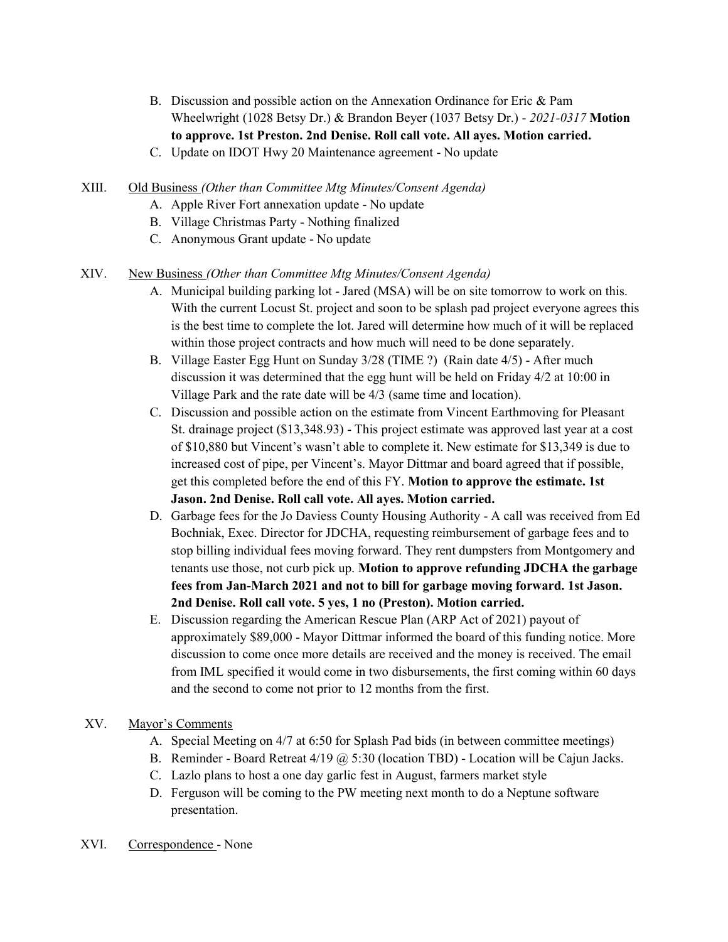- B. Discussion and possible action on the Annexation Ordinance for Eric & Pam Wheelwright (1028 Betsy Dr.) & Brandon Beyer (1037 Betsy Dr.) - 2021-0317 Motion to approve. 1st Preston. 2nd Denise. Roll call vote. All ayes. Motion carried.
- C. Update on IDOT Hwy 20 Maintenance agreement No update
- XIII. Old Business (Other than Committee Mtg Minutes/Consent Agenda)
	- A. Apple River Fort annexation update No update
	- B. Village Christmas Party Nothing finalized
	- C. Anonymous Grant update No update

#### XIV. New Business (Other than Committee Mtg Minutes/Consent Agenda)

- A. Municipal building parking lot Jared (MSA) will be on site tomorrow to work on this. With the current Locust St. project and soon to be splash pad project everyone agrees this is the best time to complete the lot. Jared will determine how much of it will be replaced within those project contracts and how much will need to be done separately.
- B. Village Easter Egg Hunt on Sunday 3/28 (TIME ?) (Rain date 4/5) After much discussion it was determined that the egg hunt will be held on Friday 4/2 at 10:00 in Village Park and the rate date will be 4/3 (same time and location).
- C. Discussion and possible action on the estimate from Vincent Earthmoving for Pleasant St. drainage project (\$13,348.93) - This project estimate was approved last year at a cost of \$10,880 but Vincent's wasn't able to complete it. New estimate for \$13,349 is due to increased cost of pipe, per Vincent's. Mayor Dittmar and board agreed that if possible, get this completed before the end of this FY. Motion to approve the estimate. 1st Jason. 2nd Denise. Roll call vote. All ayes. Motion carried.
- D. Garbage fees for the Jo Daviess County Housing Authority A call was received from Ed Bochniak, Exec. Director for JDCHA, requesting reimbursement of garbage fees and to stop billing individual fees moving forward. They rent dumpsters from Montgomery and tenants use those, not curb pick up. Motion to approve refunding JDCHA the garbage fees from Jan-March 2021 and not to bill for garbage moving forward. 1st Jason. 2nd Denise. Roll call vote. 5 yes, 1 no (Preston). Motion carried.
- E. Discussion regarding the American Rescue Plan (ARP Act of 2021) payout of approximately \$89,000 - Mayor Dittmar informed the board of this funding notice. More discussion to come once more details are received and the money is received. The email from IML specified it would come in two disbursements, the first coming within 60 days and the second to come not prior to 12 months from the first.

#### XV. Mayor's Comments

- A. Special Meeting on 4/7 at 6:50 for Splash Pad bids (in between committee meetings)
- B. Reminder Board Retreat 4/19 @ 5:30 (location TBD) Location will be Cajun Jacks.
- C. Lazlo plans to host a one day garlic fest in August, farmers market style
- D. Ferguson will be coming to the PW meeting next month to do a Neptune software presentation.
- XVI. Correspondence None